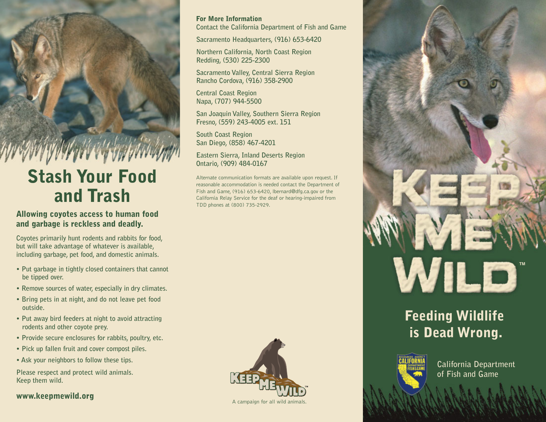# **Stash Your Food and Trash**

### **Allowing coyotes access to human food and garbage is reckless and deadly.**

**Coyotes primarily hunt rodents and rabbits for food, but will take advantage of whatever is available, including garbage, pet food, and domestic animals.**

- **Put garbage in tightly closed containers that cannot be tipped over.**
- **Remove sources of water, especially in dry climates.**
- **Bring pets in at night, and do not leave pet food outside.**
- **Put away bird feeders at night to avoid attracting rodents and other coyote prey.**
- **Provide secure enclosures for rabbits, poultry, etc.**
- **Pick up fallen fruit and cover compost piles.**
- **Ask your neighbors to follow these tips.**

**Please respect and protect wild animals. Keep them wild.**

### **www.keepmewild.org**

### **For More Information**

**Contact the California Department of Fish and Game**

**Sacramento Headquarters, (916) 653-6420**

**Northern California, North Coast Region Redding, (530) 225-2300**

**Sacramento Valley, Central Sierra Region Rancho Cordova, (916) 358-2900**

**Central Coast Region Napa, (707) 944-5500**

**San Joaquin Valley, Southern Sierra Region Fresno, (559) 243-4005 ext. 151**

**South Coast Region San Diego, (858) 467-4201**

**Eastern Sierra, Inland Deserts Region Ontario, (909) 484-0167**

Alternate communication formats are available upon request. If reasonable accommodation is needed contact the Department of Fish and Game, (916) 653-6420, lbernard@dfg.ca.gov or the California Relay Service for the deaf or hearing-impaired from TDD phones at (800) 735-2929.





## **Feeding Wildlife is Dead Wrong.**



**California Department of Fish and Game**